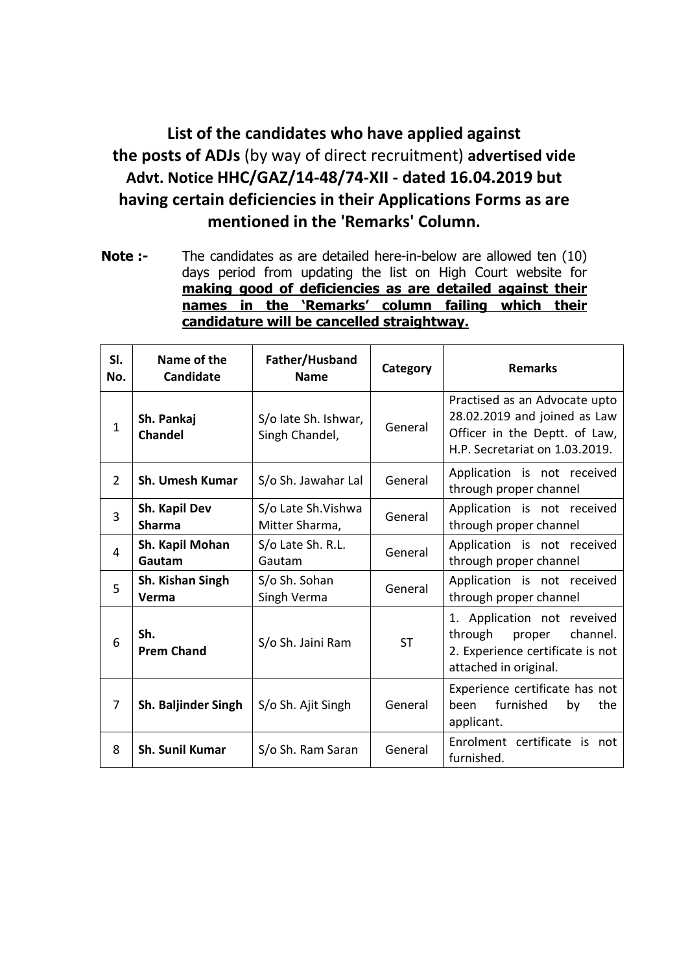## **List of the candidates who have applied against the posts of ADJs** (by way of direct recruitment) **advertised vide Advt. Notice HHC/GAZ/14-48/74-XII - dated 16.04.2019 but having certain deficiencies in their Applications Forms as are mentioned in the 'Remarks' Column.**

**Note :-** The candidates as are detailed here-in-below are allowed ten (10) days period from updating the list on High Court website for **making good of deficiencies as are detailed against their names in the 'Remarks' column failing which their candidature will be cancelled straightway.**

| SI.<br>No.   | Name of the<br><b>Candidate</b> | Father/Husband<br><b>Name</b>          | Category  | <b>Remarks</b>                                                                                                                   |
|--------------|---------------------------------|----------------------------------------|-----------|----------------------------------------------------------------------------------------------------------------------------------|
| $\mathbf{1}$ | Sh. Pankaj<br><b>Chandel</b>    | S/o late Sh. Ishwar,<br>Singh Chandel, | General   | Practised as an Advocate upto<br>28.02.2019 and joined as Law<br>Officer in the Deptt. of Law,<br>H.P. Secretariat on 1.03.2019. |
| 2            | <b>Sh. Umesh Kumar</b>          | S/o Sh. Jawahar Lal                    | General   | Application is not received<br>through proper channel                                                                            |
| 3            | Sh. Kapil Dev<br><b>Sharma</b>  | S/o Late Sh. Vishwa<br>Mitter Sharma,  | General   | Application is not received<br>through proper channel                                                                            |
| 4            | Sh. Kapil Mohan<br>Gautam       | S/o Late Sh. R.L.<br>Gautam            | General   | Application is not received<br>through proper channel                                                                            |
| 5            | Sh. Kishan Singh<br>Verma       | S/o Sh. Sohan<br>Singh Verma           | General   | Application is not received<br>through proper channel                                                                            |
| 6            | Sh.<br><b>Prem Chand</b>        | S/o Sh. Jaini Ram                      | <b>ST</b> | 1. Application not reveived<br>through<br>channel.<br>proper<br>2. Experience certificate is not<br>attached in original.        |
| 7            | Sh. Baljinder Singh             | S/o Sh. Ajit Singh                     | General   | Experience certificate has not<br>furnished<br>been<br>by<br>the<br>applicant.                                                   |
| 8            | <b>Sh. Sunil Kumar</b>          | S/o Sh. Ram Saran                      | General   | Enrolment certificate is not<br>furnished.                                                                                       |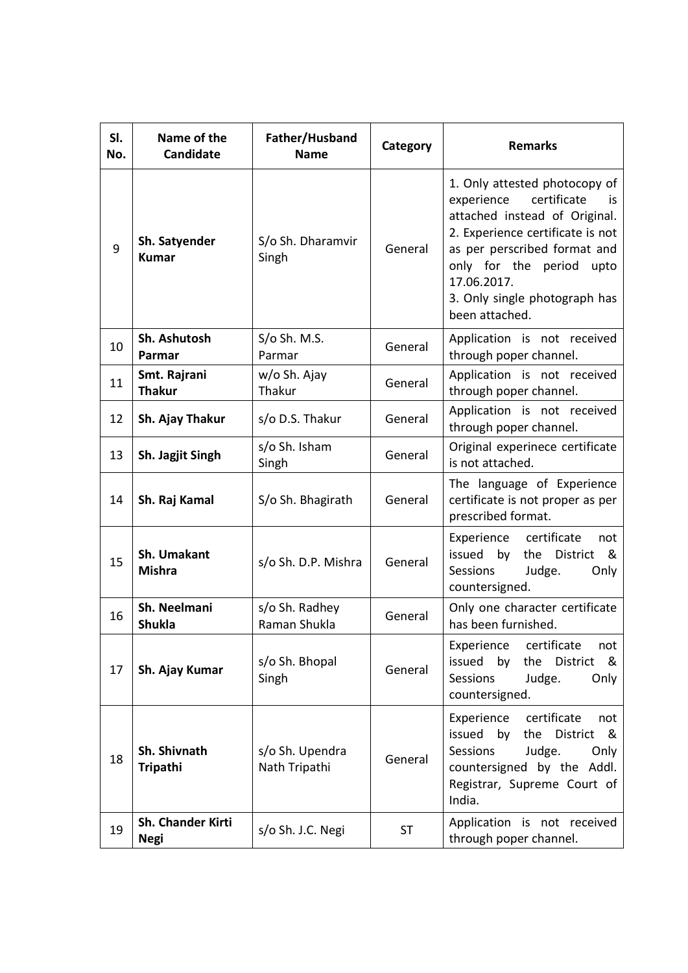| SI.<br>No. | Name of the<br><b>Candidate</b>  | Father/Husband<br><b>Name</b>    | Category  | <b>Remarks</b>                                                                                                                                                                                                                                                       |
|------------|----------------------------------|----------------------------------|-----------|----------------------------------------------------------------------------------------------------------------------------------------------------------------------------------------------------------------------------------------------------------------------|
| 9          | Sh. Satyender<br><b>Kumar</b>    | S/o Sh. Dharamvir<br>Singh       | General   | 1. Only attested photocopy of<br>certificate<br>experience<br>İS.<br>attached instead of Original.<br>2. Experience certificate is not<br>as per perscribed format and<br>only for the period upto<br>17.06.2017.<br>3. Only single photograph has<br>been attached. |
| 10         | Sh. Ashutosh<br>Parmar           | $S$ /o Sh. M.S.<br>Parmar        | General   | Application is not received<br>through poper channel.                                                                                                                                                                                                                |
| 11         | Smt. Rajrani<br><b>Thakur</b>    | w/o Sh. Ajay<br>Thakur           | General   | Application is not received<br>through poper channel.                                                                                                                                                                                                                |
| 12         | Sh. Ajay Thakur                  | s/o D.S. Thakur                  | General   | Application is not received<br>through poper channel.                                                                                                                                                                                                                |
| 13         | Sh. Jagjit Singh                 | s/o Sh. Isham<br>Singh           | General   | Original experinece certificate<br>is not attached.                                                                                                                                                                                                                  |
| 14         | Sh. Raj Kamal                    | S/o Sh. Bhagirath                | General   | The language of Experience<br>certificate is not proper as per<br>prescribed format.                                                                                                                                                                                 |
| 15         | Sh. Umakant<br><b>Mishra</b>     | s/o Sh. D.P. Mishra              | General   | Experience<br>certificate<br>not<br>issued<br>by<br>the<br><b>District</b><br>&<br>Judge.<br>Sessions<br>Only<br>countersigned.                                                                                                                                      |
| 16         | Sh. Neelmani<br><b>Shukla</b>    | s/o Sh. Radhey<br>Raman Shukla   | General   | Only one character certificate<br>has been furnished.                                                                                                                                                                                                                |
| 17         | Sh. Ajay Kumar                   | s/o Sh. Bhopal<br>Singh          | General   | Experience<br>certificate<br>not<br>issued<br>by<br>the<br>District<br>&<br><b>Sessions</b><br>Judge.<br>Only<br>countersigned.                                                                                                                                      |
| 18         | Sh. Shivnath<br><b>Tripathi</b>  | s/o Sh. Upendra<br>Nath Tripathi | General   | certificate<br>Experience<br>not<br>issued<br>by<br>the<br>District<br>&<br><b>Sessions</b><br>Judge.<br>Only<br>countersigned by the Addl.<br>Registrar, Supreme Court of<br>India.                                                                                 |
| 19         | Sh. Chander Kirti<br><b>Negi</b> | s/o Sh. J.C. Negi                | <b>ST</b> | Application is not received<br>through poper channel.                                                                                                                                                                                                                |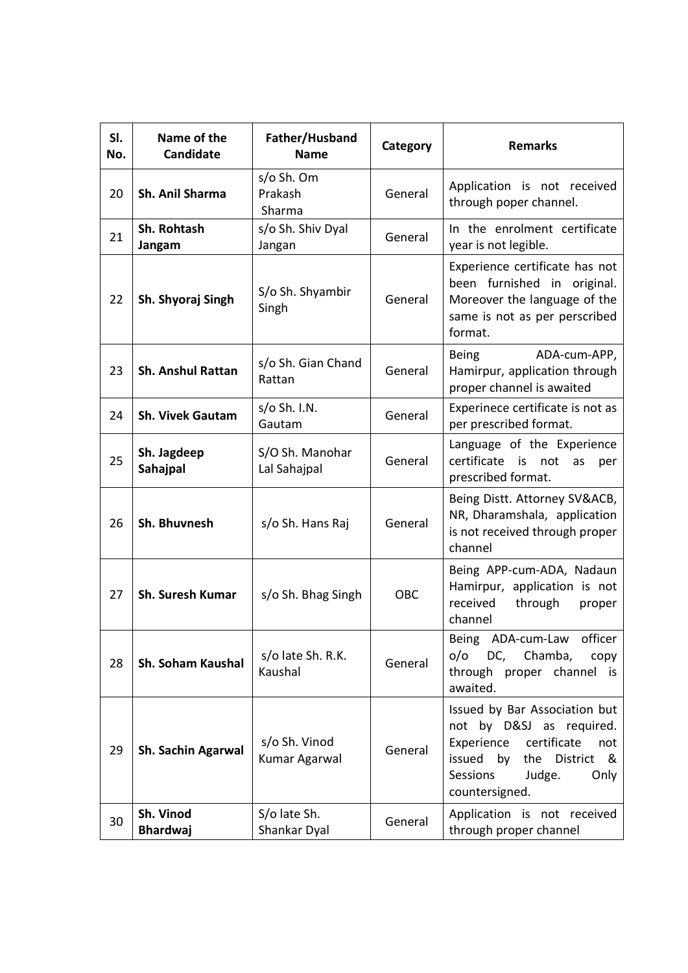| SI.<br>No. | Name of the<br>Candidate     | Father/Husband<br><b>Name</b>   | Category | <b>Remarks</b>                                                                                                                                                            |
|------------|------------------------------|---------------------------------|----------|---------------------------------------------------------------------------------------------------------------------------------------------------------------------------|
| 20         | Sh. Anil Sharma              | s/o Sh. Om<br>Prakash<br>Sharma | General  | Application is not received<br>through poper channel.                                                                                                                     |
| 21         | Sh. Rohtash<br>Jangam        | s/o Sh. Shiv Dyal<br>Jangan     | General  | In the enrolment certificate<br>year is not legible.                                                                                                                      |
| 22         | Sh. Shyoraj Singh            | S/o Sh. Shyambir<br>Singh       | General  | Experience certificate has not<br>been furnished in original.<br>Moreover the language of the<br>same is not as per perscribed<br>format.                                 |
| 23         | <b>Sh. Anshul Rattan</b>     | s/o Sh. Gian Chand<br>Rattan    | General  | <b>Being</b><br>ADA-cum-APP,<br>Hamirpur, application through<br>proper channel is awaited                                                                                |
| 24         | <b>Sh. Vivek Gautam</b>      | $s$ /o Sh. I.N.<br>Gautam       | General  | Experinece certificate is not as<br>per prescribed format.                                                                                                                |
| 25         | Sh. Jagdeep<br>Sahajpal      | S/O Sh. Manohar<br>Lal Sahajpal | General  | Language of the Experience<br>certificate is<br>not<br>as<br>per<br>prescribed format.                                                                                    |
| 26         | Sh. Bhuvnesh                 | s/o Sh. Hans Raj                | General  | Being Distt. Attorney SV&ACB,<br>NR, Dharamshala, application<br>is not received through proper<br>channel                                                                |
| 27         | Sh. Suresh Kumar             | s/o Sh. Bhag Singh              | OBC      | Being APP-cum-ADA, Nadaun<br>Hamirpur, application is not<br>received<br>through<br>proper<br>channel                                                                     |
| 28         | Sh. Soham Kaushal            | s/o late Sh. R.K.<br>Kaushal    | General  | Being ADA-cum-Law officer<br>DC, Chamba,<br>0/0<br>copy<br>through proper channel is<br>awaited.                                                                          |
| 29         | Sh. Sachin Agarwal           | s/o Sh. Vinod<br>Kumar Agarwal  | General  | Issued by Bar Association but<br>not by D&SJ as required.<br>Experience<br>certificate<br>not<br>issued by the District &<br>Sessions<br>Judge.<br>Only<br>countersigned. |
| 30         | Sh. Vinod<br><b>Bhardwaj</b> | S/o late Sh.<br>Shankar Dyal    | General  | Application is not received<br>through proper channel                                                                                                                     |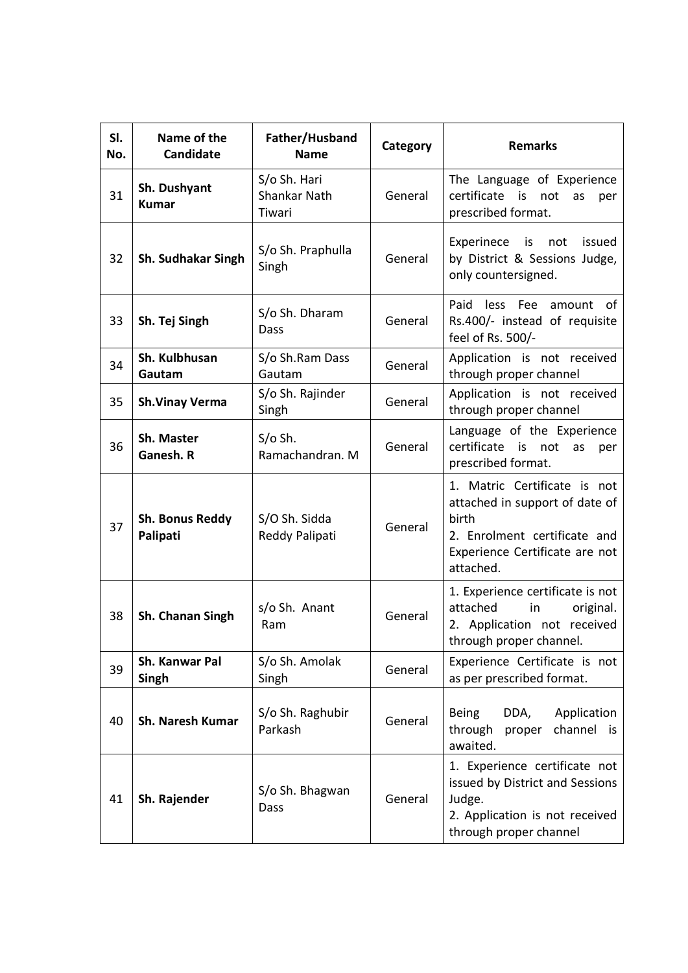| SI.<br>No. | Name of the<br>Candidate     | Father/Husband<br><b>Name</b>                 | Category | <b>Remarks</b>                                                                                                                                         |
|------------|------------------------------|-----------------------------------------------|----------|--------------------------------------------------------------------------------------------------------------------------------------------------------|
| 31         | Sh. Dushyant<br><b>Kumar</b> | S/o Sh. Hari<br><b>Shankar Nath</b><br>Tiwari | General  | The Language of Experience<br>certificate<br>is<br>not<br>as<br>per<br>prescribed format.                                                              |
| 32         | Sh. Sudhakar Singh           | S/o Sh. Praphulla<br>Singh                    | General  | Experinece<br>is<br>not<br>issued<br>by District & Sessions Judge,<br>only countersigned.                                                              |
| 33         | Sh. Tej Singh                | S/o Sh. Dharam<br>Dass                        | General  | Paid less Fee<br>amount of<br>Rs.400/- instead of requisite<br>feel of Rs. 500/-                                                                       |
| 34         | Sh. Kulbhusan<br>Gautam      | S/o Sh.Ram Dass<br>Gautam                     | General  | Application is not received<br>through proper channel                                                                                                  |
| 35         | <b>Sh.Vinay Verma</b>        | S/o Sh. Rajinder<br>Singh                     | General  | Application is not received<br>through proper channel                                                                                                  |
| 36         | Sh. Master<br>Ganesh. R      | $S/O$ Sh.<br>Ramachandran. M                  | General  | Language of the Experience<br>certificate is<br>not<br>as<br>per<br>prescribed format.                                                                 |
| 37         | Sh. Bonus Reddy<br>Palipati  | S/O Sh. Sidda<br>Reddy Palipati               | General  | 1. Matric Certificate is not<br>attached in support of date of<br>birth<br>2. Enrolment certificate and<br>Experience Certificate are not<br>attached. |
| 38         | Sh. Chanan Singh             | s/o Sh. Anant<br>Ram                          | General  | 1. Experience certificate is not<br>attached<br>in<br>original.<br>2. Application not received<br>through proper channel.                              |
| 39         | Sh. Kanwar Pal<br>Singh      | S/o Sh. Amolak<br>Singh                       | General  | Experience Certificate is not<br>as per prescribed format.                                                                                             |
| 40         | <b>Sh. Naresh Kumar</b>      | S/o Sh. Raghubir<br>Parkash                   | General  | DDA,<br>Application<br><b>Being</b><br>channel is<br>through<br>proper<br>awaited.                                                                     |
| 41         | Sh. Rajender                 | S/o Sh. Bhagwan<br>Dass                       | General  | 1. Experience certificate not<br>issued by District and Sessions<br>Judge.<br>2. Application is not received<br>through proper channel                 |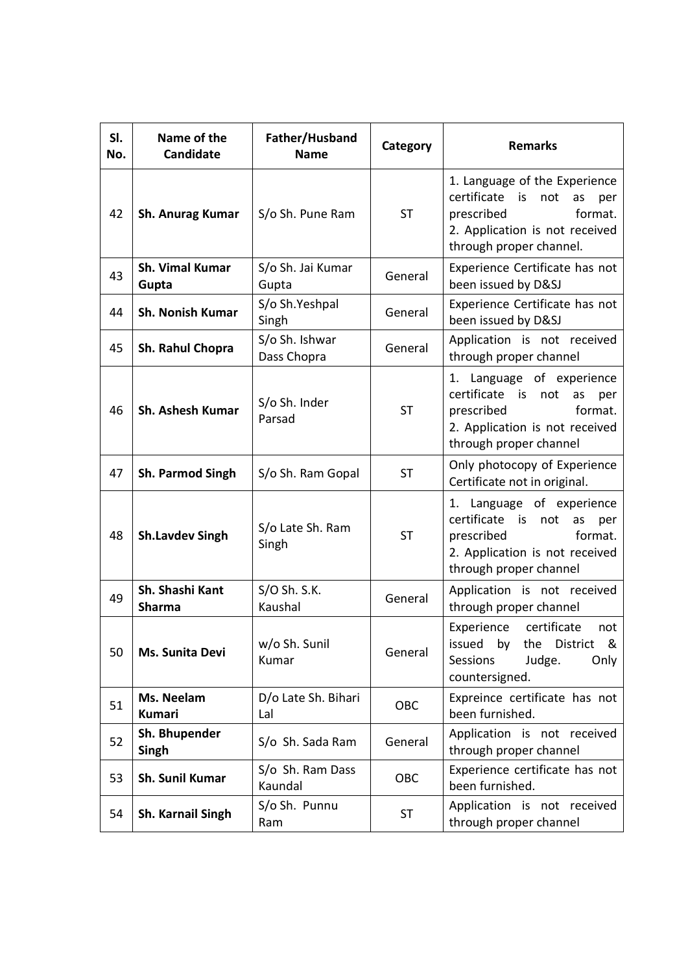| SI.<br>No. | Name of the<br>Candidate         | Father/Husband<br><b>Name</b> | Category  | <b>Remarks</b>                                                                                                                                               |
|------------|----------------------------------|-------------------------------|-----------|--------------------------------------------------------------------------------------------------------------------------------------------------------------|
| 42         | Sh. Anurag Kumar                 | S/o Sh. Pune Ram              | <b>ST</b> | 1. Language of the Experience<br>certificate<br>is<br>not<br>as<br>per<br>format.<br>prescribed<br>2. Application is not received<br>through proper channel. |
| 43         | Sh. Vimal Kumar<br>Gupta         | S/o Sh. Jai Kumar<br>Gupta    | General   | Experience Certificate has not<br>been issued by D&SJ                                                                                                        |
| 44         | <b>Sh. Nonish Kumar</b>          | S/o Sh.Yeshpal<br>Singh       | General   | Experience Certificate has not<br>been issued by D&SJ                                                                                                        |
| 45         | Sh. Rahul Chopra                 | S/o Sh. Ishwar<br>Dass Chopra | General   | Application is not received<br>through proper channel                                                                                                        |
| 46         | Sh. Ashesh Kumar                 | S/o Sh. Inder<br>Parsad       | <b>ST</b> | 1. Language of experience<br>certificate is<br>not<br>as<br>per<br>prescribed<br>format.<br>2. Application is not received<br>through proper channel         |
| 47         | Sh. Parmod Singh                 | S/o Sh. Ram Gopal             | ST        | Only photocopy of Experience<br>Certificate not in original.                                                                                                 |
| 48         | <b>Sh.Lavdev Singh</b>           | S/o Late Sh. Ram<br>Singh     | <b>ST</b> | 1. Language of experience<br>certificate<br>is<br>not<br>as<br>per<br>prescribed<br>format.<br>2. Application is not received<br>through proper channel      |
| 49         | Sh. Shashi Kant<br><b>Sharma</b> | $S/O$ Sh. S.K.<br>Kaushal     | General   | Application is not received<br>through proper channel                                                                                                        |
| 50         | Ms. Sunita Devi                  | w/o Sh. Sunil<br>Kumar        | General   | Experience certificate<br>not<br>the District &<br>by<br>issued<br>Sessions<br>Judge.<br>Only<br>countersigned.                                              |
| 51         | Ms. Neelam<br><b>Kumari</b>      | D/o Late Sh. Bihari<br>Lal    | OBC       | Expreince certificate has not<br>been furnished.                                                                                                             |
| 52         | Sh. Bhupender<br>Singh           | S/o Sh. Sada Ram              | General   | Application is not received<br>through proper channel                                                                                                        |
| 53         | Sh. Sunil Kumar                  | S/o Sh. Ram Dass<br>Kaundal   | OBC       | Experience certificate has not<br>been furnished.                                                                                                            |
| 54         | <b>Sh. Karnail Singh</b>         | S/o Sh. Punnu<br>Ram          | <b>ST</b> | Application is not received<br>through proper channel                                                                                                        |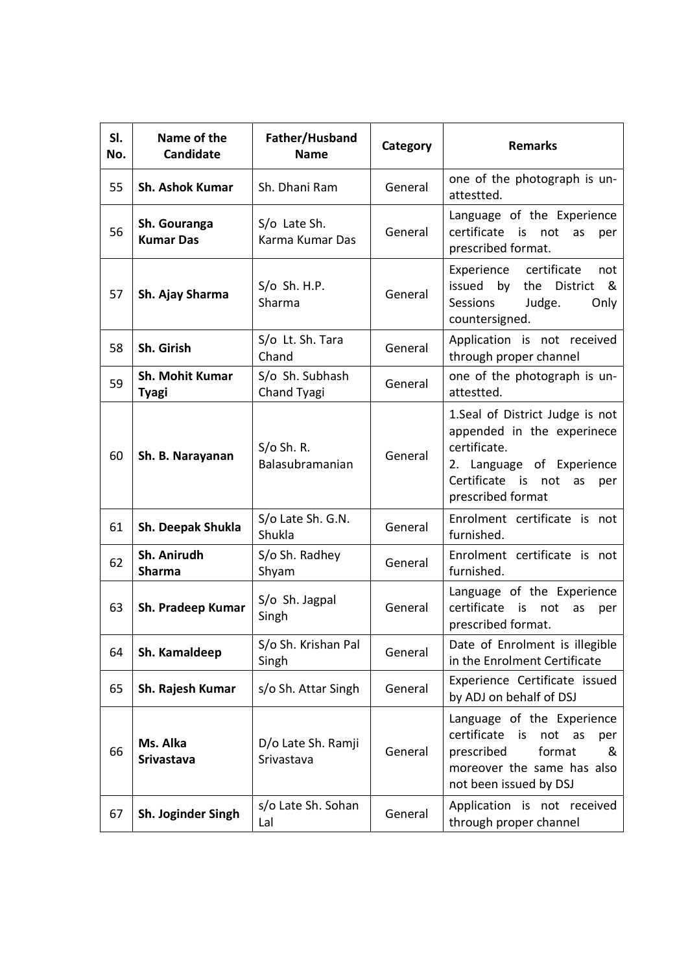| SI.<br>No. | Name of the<br>Candidate               | Father/Husband<br><b>Name</b>    | Category | <b>Remarks</b>                                                                                                                                                     |
|------------|----------------------------------------|----------------------------------|----------|--------------------------------------------------------------------------------------------------------------------------------------------------------------------|
| 55         | <b>Sh. Ashok Kumar</b>                 | Sh. Dhani Ram                    | General  | one of the photograph is un-<br>attestted.                                                                                                                         |
| 56         | Sh. Gouranga<br><b>Kumar Das</b>       | S/o Late Sh.<br>Karma Kumar Das  | General  | Language of the Experience<br>certificate is<br>not<br>as<br>per<br>prescribed format.                                                                             |
| 57         | Sh. Ajay Sharma                        | $S/O$ Sh. H.P.<br>Sharma         | General  | certificate<br>Experience<br>not<br>issued by the District<br>&<br>Sessions<br>Judge.<br>Only<br>countersigned.                                                    |
| 58         | Sh. Girish                             | S/o Lt. Sh. Tara<br>Chand        | General  | Application is not received<br>through proper channel                                                                                                              |
| 59         | <b>Sh. Mohit Kumar</b><br><b>Tyagi</b> | S/o Sh. Subhash<br>Chand Tyagi   | General  | one of the photograph is un-<br>attestted.                                                                                                                         |
| 60         | Sh. B. Narayanan                       | $S/O$ Sh. R.<br>Balasubramanian  | General  | 1.Seal of District Judge is not<br>appended in the experinece<br>certificate.<br>2. Language of Experience<br>Certificate is not<br>as<br>per<br>prescribed format |
| 61         | Sh. Deepak Shukla                      | S/o Late Sh. G.N.<br>Shukla      | General  | Enrolment certificate is not<br>furnished.                                                                                                                         |
| 62         | Sh. Anirudh<br><b>Sharma</b>           | S/o Sh. Radhey<br>Shyam          | General  | Enrolment certificate is not<br>furnished.                                                                                                                         |
| 63         | Sh. Pradeep Kumar                      | S/o Sh. Jagpal<br>Singh          | General  | Language of the Experience<br>certificate<br>is<br>not<br>as<br>per<br>prescribed format.                                                                          |
| 64         | Sh. Kamaldeep                          | S/o Sh. Krishan Pal<br>Singh     | General  | Date of Enrolment is illegible<br>in the Enrolment Certificate                                                                                                     |
| 65         | Sh. Rajesh Kumar                       | s/o Sh. Attar Singh              | General  | Experience Certificate issued<br>by ADJ on behalf of DSJ                                                                                                           |
| 66         | Ms. Alka<br><b>Srivastava</b>          | D/o Late Sh. Ramji<br>Srivastava | General  | Language of the Experience<br>certificate is<br>not as<br>per<br>prescribed<br>format<br>&<br>moreover the same has also<br>not been issued by DSJ                 |
| 67         | Sh. Joginder Singh                     | s/o Late Sh. Sohan<br>Lal        | General  | Application is not received<br>through proper channel                                                                                                              |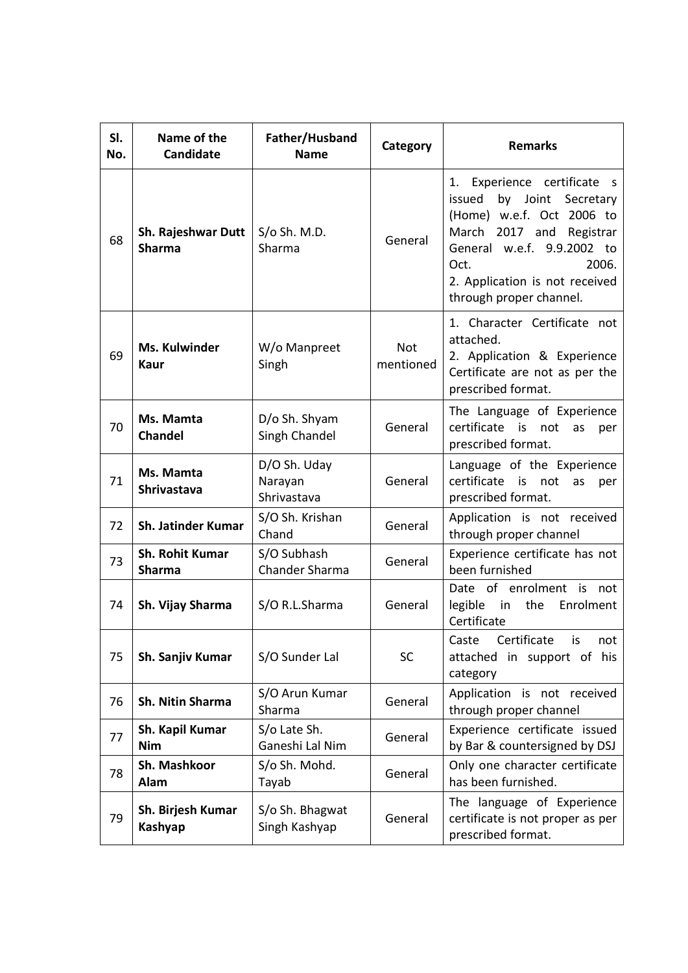| SI.<br>No. | Name of the<br><b>Candidate</b>         | Father/Husband<br><b>Name</b>          | Category                | <b>Remarks</b>                                                                                                                                                                                                                         |
|------------|-----------------------------------------|----------------------------------------|-------------------------|----------------------------------------------------------------------------------------------------------------------------------------------------------------------------------------------------------------------------------------|
| 68         | Sh. Rajeshwar Dutt<br><b>Sharma</b>     | $S/O$ Sh. M.D.<br>Sharma               | General                 | Experience certificate s<br>1.<br>issued<br>by Joint<br>Secretary<br>(Home) w.e.f. Oct 2006 to<br>March 2017 and Registrar<br>General w.e.f. 9.9.2002 to<br>2006.<br>Oct.<br>2. Application is not received<br>through proper channel. |
| 69         | Ms. Kulwinder<br>Kaur                   | W/o Manpreet<br>Singh                  | <b>Not</b><br>mentioned | 1. Character Certificate not<br>attached.<br>2. Application & Experience<br>Certificate are not as per the<br>prescribed format.                                                                                                       |
| 70         | Ms. Mamta<br><b>Chandel</b>             | D/o Sh. Shyam<br>Singh Chandel         | General                 | The Language of Experience<br>certificate<br>is<br>not<br>as<br>per<br>prescribed format.                                                                                                                                              |
| 71         | Ms. Mamta<br>Shrivastava                | D/O Sh. Uday<br>Narayan<br>Shrivastava | General                 | Language of the Experience<br>certificate is<br>not<br>as<br>per<br>prescribed format.                                                                                                                                                 |
| 72         | Sh. Jatinder Kumar                      | S/O Sh. Krishan<br>Chand               | General                 | Application is not received<br>through proper channel                                                                                                                                                                                  |
| 73         | <b>Sh. Rohit Kumar</b><br><b>Sharma</b> | S/O Subhash<br>Chander Sharma          | General                 | Experience certificate has not<br>been furnished                                                                                                                                                                                       |
| 74         | Sh. Vijay Sharma                        | S/O R.L.Sharma                         | General                 | Date of enrolment is<br>not<br>legible in<br>the Enrolment<br>Certificate                                                                                                                                                              |
| 75         | Sh. Sanjiv Kumar                        | S/O Sunder Lal                         | <b>SC</b>               | Caste Certificate is not<br>attached in support of his<br>category                                                                                                                                                                     |
| 76         | Sh. Nitin Sharma                        | S/O Arun Kumar<br>Sharma               | General                 | Application is not received<br>through proper channel                                                                                                                                                                                  |
| 77         | Sh. Kapil Kumar<br><b>Nim</b>           | S/o Late Sh.<br>Ganeshi Lal Nim        | General                 | Experience certificate issued<br>by Bar & countersigned by DSJ                                                                                                                                                                         |
| 78         | Sh. Mashkoor<br>Alam                    | S/o Sh. Mohd.<br>Tayab                 | General                 | Only one character certificate<br>has been furnished.                                                                                                                                                                                  |
| 79         | Sh. Birjesh Kumar<br>Kashyap            | S/o Sh. Bhagwat<br>Singh Kashyap       | General                 | The language of Experience<br>certificate is not proper as per<br>prescribed format.                                                                                                                                                   |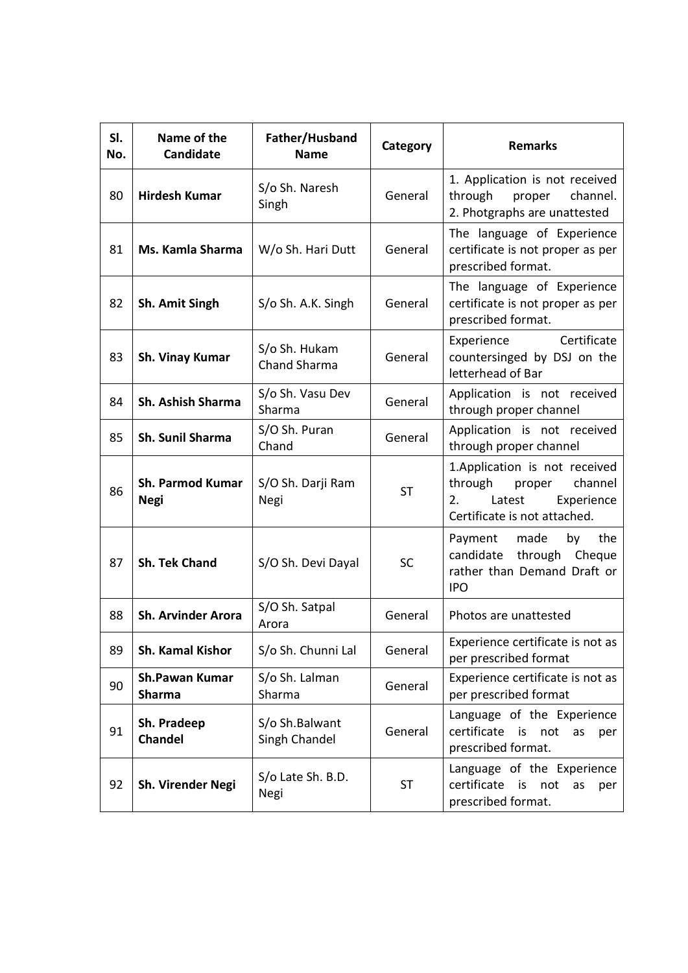| SI.<br>No. | Name of the<br>Candidate               | Father/Husband<br><b>Name</b>   | Category  | <b>Remarks</b>                                                                                                              |
|------------|----------------------------------------|---------------------------------|-----------|-----------------------------------------------------------------------------------------------------------------------------|
| 80         | <b>Hirdesh Kumar</b>                   | S/o Sh. Naresh<br>Singh         | General   | 1. Application is not received<br>through proper<br>channel.<br>2. Photgraphs are unattested                                |
| 81         | Ms. Kamla Sharma                       | W/o Sh. Hari Dutt               | General   | The language of Experience<br>certificate is not proper as per<br>prescribed format.                                        |
| 82         | Sh. Amit Singh                         | S/o Sh. A.K. Singh              | General   | The language of Experience<br>certificate is not proper as per<br>prescribed format.                                        |
| 83         | Sh. Vinay Kumar                        | S/o Sh. Hukam<br>Chand Sharma   | General   | Certificate<br>Experience<br>countersinged by DSJ on the<br>letterhead of Bar                                               |
| 84         | <b>Sh. Ashish Sharma</b>               | S/o Sh. Vasu Dev<br>Sharma      | General   | Application is not received<br>through proper channel                                                                       |
| 85         | Sh. Sunil Sharma                       | S/O Sh. Puran<br>Chand          | General   | Application is not received<br>through proper channel                                                                       |
| 86         | <b>Sh. Parmod Kumar</b><br><b>Negi</b> | S/O Sh. Darji Ram<br>Negi       | <b>ST</b> | 1.Application is not received<br>through<br>channel<br>proper<br>2.<br>Latest<br>Experience<br>Certificate is not attached. |
| 87         | <b>Sh. Tek Chand</b>                   | S/O Sh. Devi Dayal              | SC        | Payment made<br>by<br>the<br>candidate through Cheque<br>rather than Demand Draft or<br><b>IPO</b>                          |
| 88         | Sh. Arvinder Arora                     | S/O Sh. Satpal<br>Arora         | General   | Photos are unattested                                                                                                       |
| 89         | Sh. Kamal Kishor                       | S/o Sh. Chunni Lal              | General   | Experience certificate is not as<br>per prescribed format                                                                   |
| 90         | <b>Sh.Pawan Kumar</b><br><b>Sharma</b> | S/o Sh. Lalman<br>Sharma        | General   | Experience certificate is not as<br>per prescribed format                                                                   |
| 91         | Sh. Pradeep<br><b>Chandel</b>          | S/o Sh.Balwant<br>Singh Chandel | General   | Language of the Experience<br>certificate<br>is<br>not<br>as<br>per<br>prescribed format.                                   |
| 92         | Sh. Virender Negi                      | S/o Late Sh. B.D.<br>Negi       | <b>ST</b> | Language of the Experience<br>certificate is<br>not<br>as<br>per<br>prescribed format.                                      |